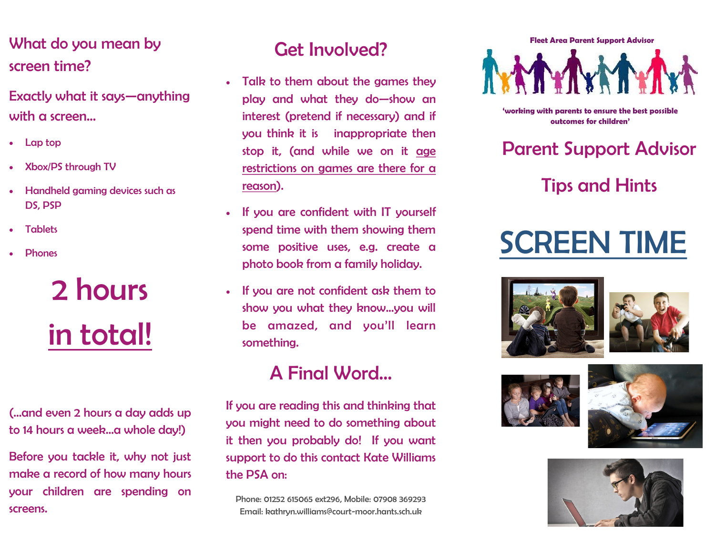#### What do you mean by screen time?

Exactly what it says—anything with a screen…

- Lap top
- Xbox/PS through TV
- Handheld gaming devices such as DS, PSP
- **Tablets**
- **Phones**

## 2 hours in total!

(...and even 2 hours a day adds up to 14 hours a week...a whole day!)

Before you tackle it, why not just make a record of how many hours your children are spending on screens.

#### Get Involved?

- Talk to them about the games they play and what they do—show an interest (pretend if necessary) and if you think it is inappropriate then stop it, (and while we on it age restrictions on games are there for a reason).
- If you are confident with IT yourself spend time with them showing them some positive uses, e.g. create a photo book from a family holiday.
- If you are not confident ask them to show you what they know...you will be amazed, and you'll learn something.

### A Final Word...

If you are reading this and thinking that you might need to do something about it then you probably do! If you want support to do this contact Kate Williams the PSA on:

Phone: 01252 615065 ext296, Mobile: 07908 369293 Email: kathryn.williams@court-moor.hants.sch.uk

**Fleet Area Parent Support Advisor**

**'working with parents to ensure the best possible outcomes for children'**

Parent Support Advisor

Tips and Hints

### SCREEN TIME